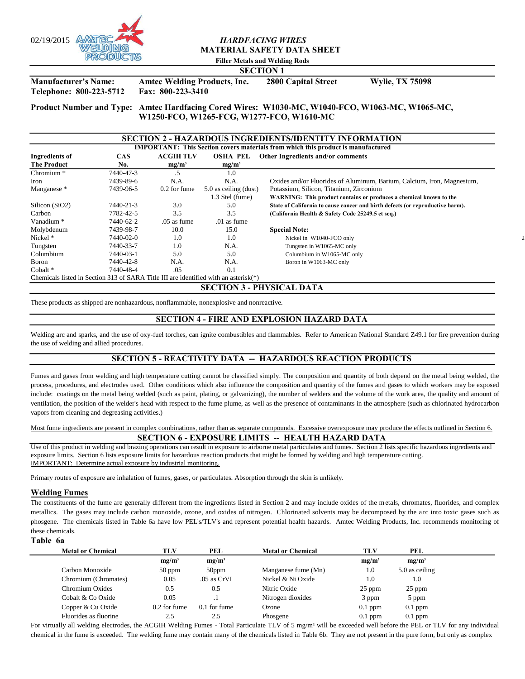

# **MATERIAL SAFETY DATA SHEET**

**Filler Metals and Welding Rods**

# **SECTION 1**

**Manufacturer's Name: Amtec Welding Products, Inc. 2800 Capital Street Wylie, TX 75098 Telephone: 800-223-5712 Fax: 800-223-3410**

**Product Number and Type: Amtec Hardfacing Cored Wires: W1030-MC, W1040-FCO, W1063-MC, W1065-MC, W1250-FCO, W1265-FCG, W1277-FCO, W1610-MC** 

## **SECTION 2 - HAZARDOUS INGREDIENTS/IDENTITY INFORMATION**

|                                                                                      |           |                  |                       | <b>IMPORTANT: This Section covers materials from which this product is manufactured</b> |  |
|--------------------------------------------------------------------------------------|-----------|------------------|-----------------------|-----------------------------------------------------------------------------------------|--|
| Ingredients of                                                                       | CAS       | <b>ACGIH TLV</b> | <b>OSHA PEL</b>       | Other Ingredients and/or comments                                                       |  |
| <b>The Product</b>                                                                   | No.       | $mg/m^3$         | $mg/m^3$              |                                                                                         |  |
| Chromium <sup>*</sup>                                                                | 7440-47-3 | .5               | 1.0                   |                                                                                         |  |
| Iron                                                                                 | 7439-89-6 | N.A.             | N.A.                  | Oxides and/or Fluorides of Aluminum, Barium, Calcium, Iron, Magnesium,                  |  |
| Manganese *                                                                          | 7439-96-5 | 0.2 for fume     | 5.0 as ceiling (dust) | Potassium, Silicon, Titanium, Zirconium                                                 |  |
|                                                                                      |           |                  | 1.3 Stel (fume)       | WARNING: This product contains or produces a chemical known to the                      |  |
| Silicon (SiO2)                                                                       | 7440-21-3 | 3.0              | 5.0                   | State of California to cause cancer and birth defects (or reproductive harm).           |  |
| Carbon                                                                               | 7782-42-5 | 3.5              | 3.5                   | (California Health & Safety Code 25249.5 et seq.)                                       |  |
| Vanadium <sup>*</sup>                                                                | 7440-62-2 | .05 as fume      | .01 as fume           |                                                                                         |  |
| Molybdenum                                                                           | 7439-98-7 | 10.0             | 15.0                  | <b>Special Note:</b>                                                                    |  |
| Nickel *                                                                             | 7440-02-0 | 1.0              | 1.0                   | Nickel in W1040-FCO only                                                                |  |
| Tungsten                                                                             | 7440-33-7 | 1.0              | N.A.                  | Tungsten in W1065-MC only                                                               |  |
| Columbium                                                                            | 7440-03-1 | 5.0              | 5.0                   | Columbium in W1065-MC only                                                              |  |
| Boron                                                                                | 7440-42-8 | N.A.             | N.A.                  | Boron in W1063-MC only                                                                  |  |
| $Cohalt$ <sup>*</sup>                                                                | 7440-48-4 | .05              | 0.1                   |                                                                                         |  |
| Chemicals listed in Section 313 of SARA Title III are identified with an asterisk(*) |           |                  |                       |                                                                                         |  |

**SECTION 3 - PHYSICAL DATA** 

These products as shipped are nonhazardous, nonflammable, nonexplosive and nonreactive.

## **SECTION 4 - FIRE AND EXPLOSION HAZARD DATA**

Welding arc and sparks, and the use of oxy-fuel torches, can ignite combustibles and flammables. Refer to American National Standard Z49.1 for fire prevention during the use of welding and allied procedures.

# **SECTION 5 - REACTIVITY DATA -- HAZARDOUS REACTION PRODUCTS**

Fumes and gases from welding and high temperature cutting cannot be classified simply. The composition and quantity of both depend on the metal being welded, the process, procedures, and electrodes used. Other conditions which also influence the composition and quantity of the fumes and gases to which workers may be exposed include: coatings on the metal being welded (such as paint, plating, or galvanizing), the number of welders and the volume of the work area, the quality and amount of ventilation, the position of the welder's head with respect to the fume plume, as well as the presence of contaminants in the atmosphere (such as chlorinated hydrocarbon vapors from cleaning and degreasing activities.)

Most fume ingredients are present in complex combinations, rather than as separate compounds. Excessive overexposure may produce the effects outlined in Section 6. **SECTION 6 - EXPOSURE LIMITS -- HEALTH HAZARD DATA** 

Use of this product in welding and brazing operations can result in exposure to airborne metal particulates and fumes. Section 2 lists specific hazardous ingredients and exposure limits. Section 6 lists exposure limits for hazardous reaction products that might be formed by welding and high temperature cutting. IMPORTANT: Determine actual exposure by industrial monitoring.

Primary routes of exposure are inhalation of fumes, gases, or particulates. Absorption through the skin is unlikely.

## **Welding Fumes**

The constituents of the fume are generally different from the ingredients listed in Section 2 and may include oxides of the metals, chromates, fluorides, and complex metallics. The gases may include carbon monoxide, ozone, and oxides of nitrogen. Chlorinated solvents may be decomposed by the a rc into toxic gases such as phosgene. The chemicals listed in Table 6a have low PEL's/TLV's and represent potential health hazards. Amtec Welding Products, Inc. recommends monitoring of these chemicals.

#### **Table 6a**

| <b>Metal or Chemical</b> | TLV          | PEL           | <b>Metal or Chemical</b> | TLV       | PEL            |  |
|--------------------------|--------------|---------------|--------------------------|-----------|----------------|--|
|                          | $mg/m^3$     | $mg/m^3$      |                          | $mg/m^3$  | $mg/m^3$       |  |
| Carbon Monoxide          | $50$ ppm     | $50$ ppm      | Manganese fume (Mn)      | 1.0       | 5.0 as ceiling |  |
| Chromium (Chromates)     | 0.05         | $.05$ as CrVI | Nickel & Ni Oxide        | 1.0       | 1.0            |  |
| Chromium Oxides          | 0.5          | 0.5           | Nitric Oxide             | $25$ ppm  | 25 ppm         |  |
| Cobalt & Co Oxide        | 0.05         |               | Nitrogen dioxides        | 3 ppm     | 5 ppm          |  |
| Copper & Cu Oxide        | 0.2 for fume | 0.1 for fume  | Ozone                    | $0.1$ ppm | $0.1$ ppm      |  |
| Fluorides as fluorine    | 2.5          | 2.5           | Phosgene                 | $0.1$ ppm | $0.1$ ppm      |  |

For virtually all welding electrodes, the ACGIH Welding Fumes - Total Particulate TLV of 5 mg/m<sup>3</sup> will be exceeded well before the PEL or TLV for any individual chemical in the fume is exceeded. The welding fume may contain many of the chemicals listed in Table 6b. They are not present in the pure form, but only as complex